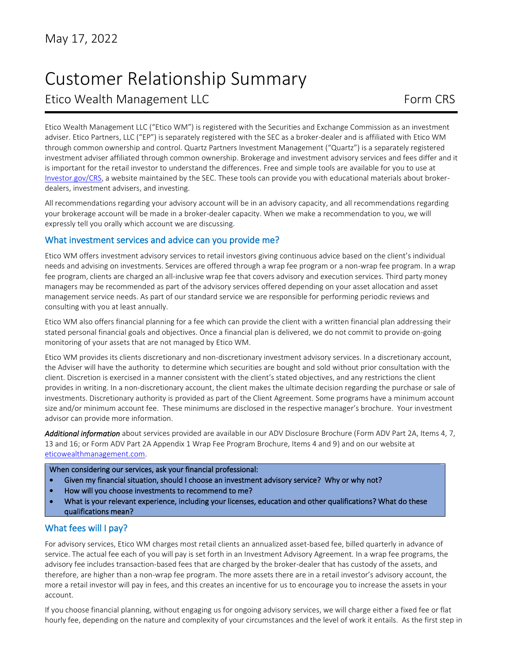1

# Customer Relationship Summary Etico Wealth Management LLC Form CRS

Etico Wealth Management LLC ("Etico WM") is registered with the Securities and Exchange Commission as an investment adviser. Etico Partners, LLC ("EP") is separately registered with the SEC as a broker-dealer and is affiliated with Etico WM through common ownership and control. Quartz Partners Investment Management ("Quartz") is a separately registered investment adviser affiliated through common ownership. Brokerage and investment advisory services and fees differ and it is important for the retail investor to understand the differences. Free and simple tools are available for you to use at [Investor.gov/CRS,](https://www.investor.gov/CRS) a website maintained by the SEC. These tools can provide you with educational materials about brokerdealers, investment advisers, and investing.

All recommendations regarding your advisory account will be in an advisory capacity, and all recommendations regarding your brokerage account will be made in a broker-dealer capacity. When we make a recommendation to you, we will expressly tell you orally which account we are discussing.

# What investment services and advice can you provide me?

Etico WM offers investment advisory services to retail investors giving continuous advice based on the client's individual needs and advising on investments. Services are offered through a wrap fee program or a non-wrap fee program. In a wrap fee program, clients are charged an all-inclusive wrap fee that covers advisory and execution services. Third party money managers may be recommended as part of the advisory services offered depending on your asset allocation and asset management service needs. As part of our standard service we are responsible for performing periodic reviews and consulting with you at least annually.

Etico WM also offers financial planning for a fee which can provide the client with a written financial plan addressing their stated personal financial goals and objectives. Once a financial plan is delivered, we do not commit to provide on-going monitoring of your assets that are not managed by Etico WM.

Etico WM provides its clients discretionary and non-discretionary investment advisory services. In a discretionary account, the Adviser will have the authority to determine which securities are bought and sold without prior consultation with the client. Discretion is exercised in a manner consistent with the client's stated objectives, and any restrictions the client provides in writing. In a non-discretionary account, the client makes the ultimate decision regarding the purchase or sale of investments. Discretionary authority is provided as part of the Client Agreement. Some programs have a minimum account size and/or minimum account fee. These minimums are disclosed in the respective manager's brochure. Your investment advisor can provide more information.

*Additional information* about services provided are available in our ADV Disclosure Brochure (Form ADV Part 2A, Items 4, 7, 13 and 16; or Form ADV Part 2A Appendix 1 Wrap Fee Program Brochure, Items 4 and 9) and on our website at [eticowealthmanagement.com.](https://www.dlgwealthmanagement.com/)

#### When considering our services, ask your financial professional:

- Given my financial situation, should I choose an investment advisory service? Why or why not?
- How will you choose investments to recommend to me?
- What is your relevant experience, including your licenses, education and other qualifications? What do these qualifications mean?

## What fees will I pay?

For advisory services, Etico WM charges most retail clients an annualized asset-based fee, billed quarterly in advance of service. The actual fee each of you will pay is set forth in an Investment Advisory Agreement. In a wrap fee programs, the advisory fee includes transaction-based fees that are charged by the broker-dealer that has custody of the assets, and therefore, are higher than a non-wrap fee program. The more assets there are in a retail investor's advisory account, the more a retail investor will pay in fees, and this creates an incentive for us to encourage you to increase the assets in your account.

If you choose financial planning, without engaging us for ongoing advisory services, we will charge either a fixed fee or flat hourly fee, depending on the nature and complexity of your circumstances and the level of work it entails. As the first step in